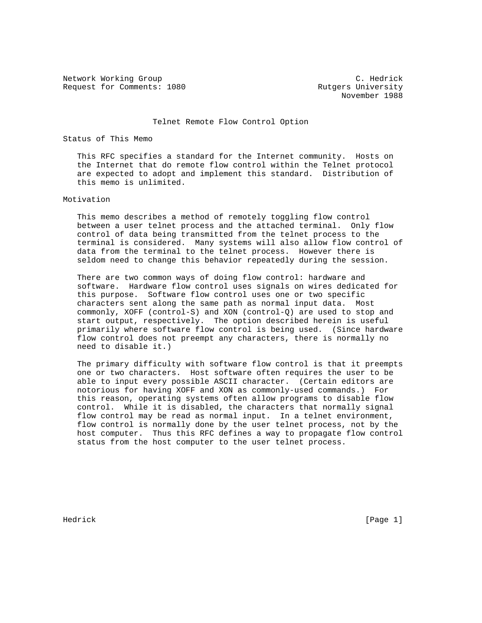Network Working Group C. Hedrick Request for Comments: 1080 Rutgers University

November 1988

## Telnet Remote Flow Control Option

## Status of This Memo

 This RFC specifies a standard for the Internet community. Hosts on the Internet that do remote flow control within the Telnet protocol are expected to adopt and implement this standard. Distribution of this memo is unlimited.

## Motivation

 This memo describes a method of remotely toggling flow control between a user telnet process and the attached terminal. Only flow control of data being transmitted from the telnet process to the terminal is considered. Many systems will also allow flow control of data from the terminal to the telnet process. However there is seldom need to change this behavior repeatedly during the session.

 There are two common ways of doing flow control: hardware and software. Hardware flow control uses signals on wires dedicated for this purpose. Software flow control uses one or two specific characters sent along the same path as normal input data. Most commonly, XOFF (control-S) and XON (control-Q) are used to stop and start output, respectively. The option described herein is useful primarily where software flow control is being used. (Since hardware flow control does not preempt any characters, there is normally no need to disable it.)

 The primary difficulty with software flow control is that it preempts one or two characters. Host software often requires the user to be able to input every possible ASCII character. (Certain editors are notorious for having XOFF and XON as commonly-used commands.) For this reason, operating systems often allow programs to disable flow control. While it is disabled, the characters that normally signal flow control may be read as normal input. In a telnet environment, flow control is normally done by the user telnet process, not by the host computer. Thus this RFC defines a way to propagate flow control status from the host computer to the user telnet process.

Hedrick [Page 1]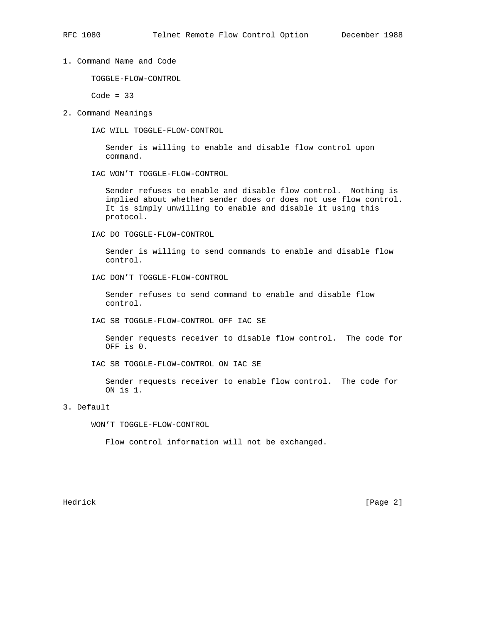1. Command Name and Code

TOGGLE-FLOW-CONTROL

 $Code = 33$ 

2. Command Meanings

IAC WILL TOGGLE-FLOW-CONTROL

 Sender is willing to enable and disable flow control upon command.

IAC WON'T TOGGLE-FLOW-CONTROL

 Sender refuses to enable and disable flow control. Nothing is implied about whether sender does or does not use flow control. It is simply unwilling to enable and disable it using this protocol.

IAC DO TOGGLE-FLOW-CONTROL

 Sender is willing to send commands to enable and disable flow control.

IAC DON'T TOGGLE-FLOW-CONTROL

 Sender refuses to send command to enable and disable flow control.

IAC SB TOGGLE-FLOW-CONTROL OFF IAC SE

 Sender requests receiver to disable flow control. The code for OFF is 0.

IAC SB TOGGLE-FLOW-CONTROL ON IAC SE

 Sender requests receiver to enable flow control. The code for ON is 1.

## 3. Default

WON'T TOGGLE-FLOW-CONTROL

Flow control information will not be exchanged.

Hedrick [Page 2]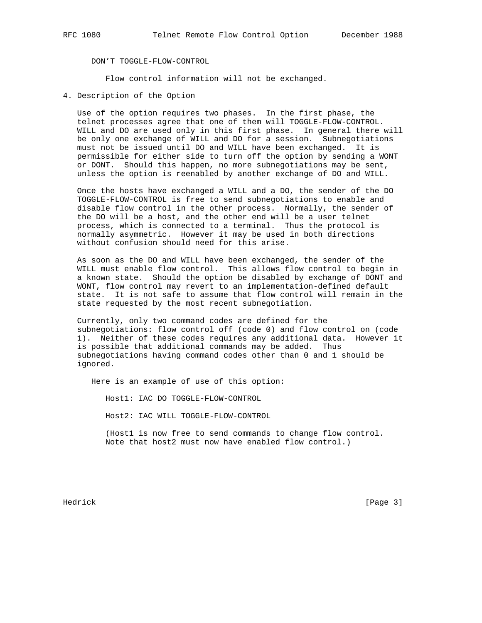DON'T TOGGLE-FLOW-CONTROL

Flow control information will not be exchanged.

4. Description of the Option

 Use of the option requires two phases. In the first phase, the telnet processes agree that one of them will TOGGLE-FLOW-CONTROL. WILL and DO are used only in this first phase. In general there will be only one exchange of WILL and DO for a session. Subnegotiations must not be issued until DO and WILL have been exchanged. It is permissible for either side to turn off the option by sending a WONT or DONT. Should this happen, no more subnegotiations may be sent, unless the option is reenabled by another exchange of DO and WILL.

 Once the hosts have exchanged a WILL and a DO, the sender of the DO TOGGLE-FLOW-CONTROL is free to send subnegotiations to enable and disable flow control in the other process. Normally, the sender of the DO will be a host, and the other end will be a user telnet process, which is connected to a terminal. Thus the protocol is normally asymmetric. However it may be used in both directions without confusion should need for this arise.

 As soon as the DO and WILL have been exchanged, the sender of the WILL must enable flow control. This allows flow control to begin in a known state. Should the option be disabled by exchange of DONT and WONT, flow control may revert to an implementation-defined default state. It is not safe to assume that flow control will remain in the state requested by the most recent subnegotiation.

 Currently, only two command codes are defined for the subnegotiations: flow control off (code 0) and flow control on (code 1). Neither of these codes requires any additional data. However it is possible that additional commands may be added. Thus subnegotiations having command codes other than 0 and 1 should be ignored.

Here is an example of use of this option:

Host1: IAC DO TOGGLE-FLOW-CONTROL

Host2: IAC WILL TOGGLE-FLOW-CONTROL

 (Host1 is now free to send commands to change flow control. Note that host2 must now have enabled flow control.)

Hedrick [Page 3]